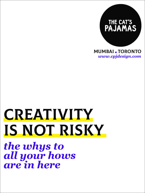

Mumbai*.*Toronto *www.cpjdesign.com*

# **CREATIVITY** IS NOT RISKy

*the whys to all your hows are in here*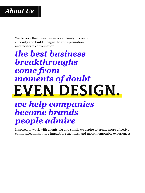

We believe that design is an opportunity to create curiosity and build intrigue; to stir up emotion and facilitate conversation.

# *the best business breakthroughs come from moments of doubt* EVEN DESIGN.

*we help companies become brands people admire*

Inspired to work with clients big and small, we aspire to create more effective communications, more impactful reactions, and more memorable experiences.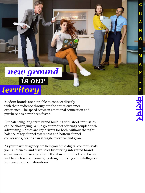# *new ground is our territory*

Modern brands are now able to connect directly with their audience throughout the entire customer experience. The speed between emotional connection and purchase has never been faster.

But balancing long-term brand building with short-term sales can be challenging. While great product offerings coupled with advertising monies are key drivers for both, without the right balance of top-funnel awareness and bottom-funnel conversions, brands can struggle to evolve and grow.

As your partner agency, we help you build digital content, scale your audiences, and drive sales by offering integrated brand experiences unlike any other. Global in our outlook and tastes, we blend classic and emerging design thinking and intelligence for meaningful collaborations.

c

h

a

n

g

e

m

a

k

E

r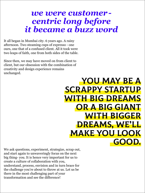#### *we were customercentric long before it became a buzz word*

It all began in Mumbai city. 6 years ago. A rainy afternoon. Two steaming cups of expresso - one ours, one that of a confused client. All it took were two leaps of faith, one from both sides of the table.

Since then, we may have moved on from client to client, but our obsession with the combination of creativity and design experience remains unchanged.

## You may be a scrappy startup with big dreams or a big giant with bigger dreams, we'll make you look good.

We ask questions, experiment, strategize, scrap out, and start again to unwaveringly focus on the next big thing- you. It is hence very important for us to create a culture of collaboration with you, understand, process, envision and in turn brace for the challenge you're about to throw at us. Let us be there in the most challenging part of your transformation and see the difference!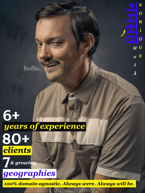*hello.*

*l*

*Ã*

B

# 80+ *years of experience clients* 6+





*100% domain-agnostic. Always were. Always will be.*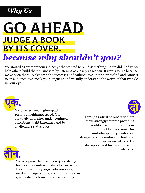## *Why Us*

# **GO AHEAD** Judge A Book BY ITS COVER. *because why shouldn't you?*

We started as entrepreneurs in 2013 who wanted to build something. So we did. Today, we help others build their businesses by listening as closely as we can. It works for us because we've been there. We've seen the successes and failures. We know how to find and connect to an audience. We speak your language and we fully understand the worth of that twinkle in your eye.



Visionaries need high-impact results at lightining speed. Our creativity flourishes under confined conditions, tight timelines, and by challenging status quos.



Through radical collaboration, we move strongly towards providing world-class solutions for your world-class vision. Our multidisciplinary strategists, designers, and curators are built and experienced to tackle disruption and turn your mission



Find ours. We recognize that leaders require strong teams and seamless strategy to win battles. By architecting synergy between sales, marketing, operations, and culture, we crush goals aided by transformative branding.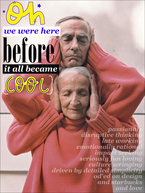# *we were here* before *it all became*



*passionate disruptive thinking late working emotionally rational impact seeking seriously fun loving culture wringing driven by detailed simplicity od'ed on design and starbucks and love*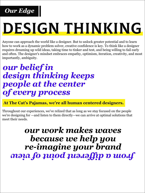

# design thinking

Anyone can approach the world like a designer. But to unlock greater potential and to learn how to work as a dynamic problem solver, creative confidence is key. To think like a designer requires dreaming up wild ideas, taking time to tinker and test, and being willing to fail early and often. The designer's mindset embraces empathy, optimism, iteration, creativity, and most importantly, ambiguity.

### *our belief in design thinking keeps people at the center of every process*

**At The Cat's Pajamas, we're all human centered designers.** 

Throughout our experiences, we've relized that as long as we stay focused on the people we're designing for —and listen to them directly—we can arrive at optimal solutions that meet their needs.

## *our work makes waves because we help you re-imagine your brand from a different point of view*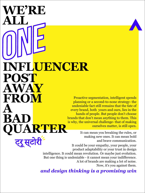**WE'RE ALL POST AWAY FROM A BAD RTER INFLUENCER**  ट्रू स्टोरी

Proactive segmentation, intelligent spends planning or a second-to-none strategy- the undeniable fact still remains that the fate of every brand, both yours and ours, lies in the hands of people. But people don't choose brands that don't mean anything to them. This is why, the universal challenge- that of making ourselves matter, is still open.

> It can mean you breaking the rules, or making new ones. It can mean bold and brave communication.

It could be your empathy, your people, your product adaptability or your trust in design intelligence. It could mean revolution. Or maybe just evolution. But one thing is undeniable - it cannot mean your indifference. A lot of brands are making a lot of noise. Now, it's you against them.

*and design thinking is a promising win*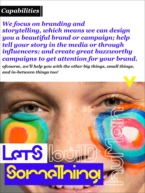#### *Capabilities*

*We focus on branding and storytelling, which means we can design you a beautiful brand or campaign; help tell your story in the media or through influencers; and create great buzzworthy campaigns to get attention for your brand.*

*ofcourse, we'll help you with the other big things, small things, and in-between things too!*

# **CTS** SomaThino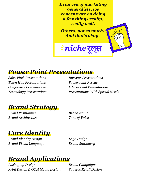*In an era of marketing generalists, we concentrate on doing a few things really, really well.*

*Others, not so much. And that's okay.* 

*niche*रूल्स

#### *Power Point Presentations*

*Sales Pitch Presentations Investor Presentations Town Hall Presentations Powerpoint Rescue*

*Conference Presentations Educational Presentations Technology Presentations Presentations With Special Needs*

#### *Brand Strategy*

*Brand Positioning* **Brand Name** *Brand Architecture Tone of Voice*

*Core Identity*

*Brand Identity Design Logo Design Brand Visual Language Brand Stationery*

#### *Brand Applications*

*Packaging Design Brand Campaigns Print Design & OOH Media Design Space & Retail Design*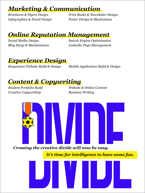#### *Marketing & Communication*

*Brochures & Flyers Design Print Books & Newsletter Design Infographics & Email Design Poster Design & Illustrations*

#### *Online Reputation Management*

*Social Media Design Search Engine Optimization Blog Setup & Maintainence LinkedIn Page Management*

#### *Experience Design*

*Responsive Website Build & Design Mobile Application Build & Design* 

#### *Content & Copywriting*

*Creative Copywriting Business Writing*

*Student Portfolio Build Website & Online Content* 



*It's time for intelligence to have some fun.*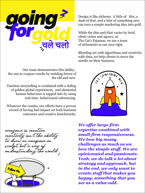

Design is like alchemy. A little of this, a dash of that, and a hint of something new can turn a simple marketing idea into gold.

While the this-and-that varies by brief, client vision and agency, at The Cat's Pajamas, we are a team of alchemists in our own right.

Blending art with algorithms and creativity with data, we help clients to move the needle on their business.

COMETHIN

Our team demonstrates this ability the one to conjure results by melding forces of the old and new.

Timeless storytelling is combined with a dollop of golden global experiences, and elemental human behaviour is tapped into by using real-time behavioural referencing.

Whatever the combo, our efforts have a proven record of having had impact on both business outcomes and creative benchmarks.





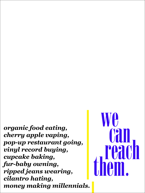*organic food eating, cherry apple vaping, pop-up restaurant going, vinyl record buying, cupcake baking, fur-baby owning, ripped jeans wearing, cilantro hating, money making millennials.*

We can reach them.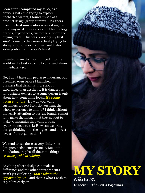Soon after I completed my MBA, as a obvious lost child trying to explore uncharted waters, I found myself at a product design group summit. Designers from the best universities were asking the most wayward questions - about technology, brands, experiences, customer support and buying urges. This was probably my first *'aha'* moment - they were actually trying to stir up emotions so that they could later solve problems in people's lives!

I wanted in on that, so I jumped into the world in the best capacity I could and almost immediately so.

No, I don't have any pedigree in design, but I realized even before I launched my business that design is more about experience than aesthetic. It is dangerous for business owners to assume design is only about how something looks. *It's really about emotions:* How do you want customers to feel? How do you want the whole experience to unfold? I think without that early attention to design, brands cannot fully make the impact that they set out to make. Companies that want to raise eyebrows need to ask: How can we bring design thinking into the highest and lowest levels of the organization?

We tend to see these as very finite rolesdesigner, artist, entrepreneur. But at the foundation, they're all the same thing: *creative problem solving.*

Anything where design can make a difference and the other entrepreneurs aren't yet exploring- *that's where the opportunity lies* - and that is what I wish to capitalize early on.